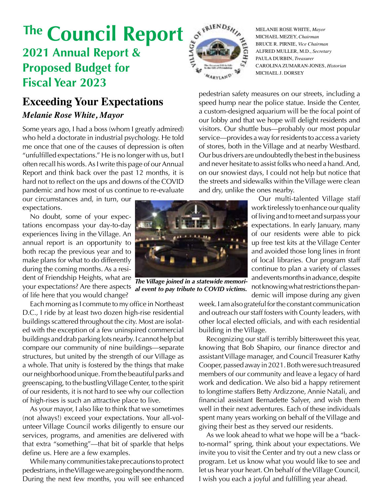# **2021 Annual Report & Proposed Budget for Fiscal Year 2023** The **Council Report** of  $\mathbf{F}^{\text{RIFNOS}}$  MELANIE ROSE WHITE, *Mayor*

### **Exceeding Your Expectations**

### *Melanie Rose White, Mayor*

Some years ago, I had a boss (whom I greatly admired) who held a doctorate in industrial psychology. He told me once that one of the causes of depression is often "unfulfilled expectations." He is no longer with us, but I often recall his words. As I write this page of our Annual Report and think back over the past 12 months, it is hard not to reflect on the ups and downs of the COVID pandemic and how most of us continue to re-evaluate

our circumstances and, in turn, our expectations.

No doubt, some of your expectations encompass your day-to-day experiences living in the Village. An annual report is an opportunity to both recap the previous year and to make plans for what to do differently during the coming months. As a resident of Friendship Heights, what are your expectations? Are there aspects of life here that you would change?

Each morning as I commute to my office in Northeast D.C., I ride by at least two dozen high-rise residential buildings scattered throughout the city. Most are isolated with the exception of a few uninspired commercial buildings and drab parking lots nearby. I cannot help but compare our community of nine buildings—separate structures, but united by the strength of our Village as a whole. That unity is fostered by the things that make our neighborhood unique. From the beautiful parks and greenscaping, to the bustling Village Center, to the spirit of our residents, it is not hard to see why our collection of high-rises is such an attractive place to live.

As your mayor, I also like to think that we sometimes (not always!) exceed your expectations. Your all-volunteer Village Council works diligently to ensure our services, programs, and amenities are delivered with that extra "something"—that bit of sparkle that helps define us. Here are a few examples.

While many communities take precautions to protect pedestrians, in the Village we are going beyond the norm. During the next few months, you will see enhanced



MICHAEL MEZEY, *Chairman* BRUCE R. PIRNIE, *Vice Chairman* ALFRED MULLER, M.D., *Secretary* PAULA DURBIN, *Treasurer* CAROLINA ZUMARAN-JONES, *Historian* MICHAEL J. DORSEY

pedestrian safety measures on our streets, including a speed hump near the police statue. Inside the Center, a custom-designed aquarium will be the focal point of our lobby and that we hope will delight residents and visitors. Our shuttle bus—probably our most popular service—provides a way for residents to access a variety of stores, both in the Village and at nearby Westbard. Our bus drivers are undoubtedly the best in the business and never hesitate to assist folks who need a hand. And, on our snowiest days, I could not help but notice that the streets and sidewalks within the Village were clean and dry, unlike the ones nearby.

Our multi-talented Village staff work tirelessly to enhance our quality of living and to meet and surpass your expectations. In early January, many of our residents were able to pick up free test kits at the Village Center and avoided those long lines in front of local libraries. Our program staff continue to plan a variety of classes and events months in advance, despite not knowing what restrictions the pandemic will impose during any given

week. I am also grateful for the constant communication and outreach our staff fosters with County leaders, with other local elected officials, and with each residential building in the Village.

Recognizing our staff is terribly bittersweet this year, knowing that Bob Shapiro, our finance director and assistant Village manager, and Council Treasurer Kathy Cooper, passed away in 2021. Both were such treasured members of our community and leave a legacy of hard work and dedication. We also bid a happy retirement to longtime staffers Betty Ardizzone, Annie Natali, and financial assistant Bernadette Salyer, and wish them well in their next adventures. Each of these individuals spent many years working on behalf of the Village and giving their best as they served our residents.

page 1 As we look ahead to what we hope will be a "backto-normal" spring, think about your expectations. We invite you to visit the Center and try out a new class or program. Let us know what you would like to see and let us hear your heart. On behalf of the Village Council, I wish you each a joyful and fulfilling year ahead.



*al event to pay tribute to COVID victims.*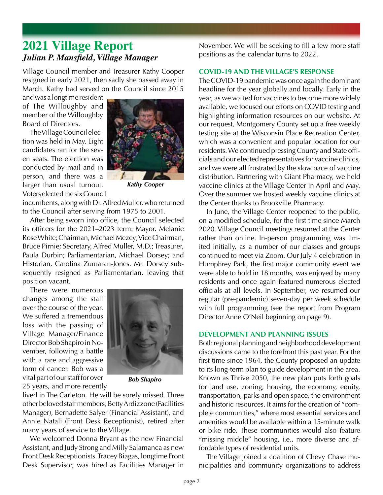### **2021 Village Report** *Julian P. Mansfield, Village Manager*

Village Council member and Treasurer Kathy Cooper resigned in early 2021, then sadly she passed away in March. Kathy had served on the Council since 2015

and was a longtime resident of The Willoughby and member of the Willoughby Board of Directors.

The Village Council election was held in May. Eight candidates ran for the seven seats. The election was conducted by mail and in person, and there was a larger than usual turnout. Voters elected the six Council



*Kathy Cooper*

incumbents, along with Dr. Alfred Muller, who returned to the Council after serving from 1975 to 2001.

After being sworn into office, the Council selected its officers for the 2021–2023 term: Mayor, Melanie Rose White; Chairman, Michael Mezey; Vice Chairman, Bruce Pirnie; Secretary, Alfred Muller, M.D.; Treasurer, Paula Durbin; Parliamentarian, Michael Dorsey; and Historian, Carolina Zumaran-Jones. Mr. Dorsey subsequently resigned as Parliamentarian, leaving that position vacant.

There were numerous changes among the staff over the course of the year. We suffered a tremendous loss with the passing of Village Manager/Finance Director Bob Shapiro in November, following a battle with a rare and aggressive form of cancer. Bob was a vital part of our staff for over 25 years, and more recently



*Bob Shapiro*

lived in The Carleton. He will be sorely missed. Three other beloved staff members, Betty Ardizzone (Facilities Manager), Bernadette Salyer (Financial Assistant), and Annie Natali (Front Desk Receptionist), retired after many years of service to the Village.

We welcomed Donna Bryant as the new Financial Assistant, and Judy Strong and Milly Salamanca as new Front Desk Receptionists. Tracey Biagas, longtime Front Desk Supervisor, was hired as Facilities Manager in

November. We will be seeking to fill a few more staff positions as the calendar turns to 2022.

#### **COVID-19 AND THE VILLAGE'S RESPONSE**

The COVID-19 pandemic was once again the dominant headline for the year globally and locally. Early in the year, as we waited for vaccines to become more widely available, we focused our efforts on COVID testing and highlighting information resources on our website. At our request, Montgomery County set up a free weekly testing site at the Wisconsin Place Recreation Center, which was a convenient and popular location for our residents. We continued pressing County and State officials and our elected representatives for vaccine clinics, and we were all frustrated by the slow pace of vaccine distribution. Partnering with Giant Pharmacy, we held vaccine clinics at the Village Center in April and May. Over the summer we hosted weekly vaccine clinics at the Center thanks to Brookville Pharmacy.

In June, the Village Center reopened to the public, on a modified schedule, for the first time since March 2020. Village Council meetings resumed at the Center rather than online. In-person programming was limited initially, as a number of our classes and groups continued to meet via Zoom. Our July 4 celebration in Humphrey Park, the first major community event we were able to hold in 18 months, was enjoyed by many residents and once again featured numerous elected officials at all levels. In September, we resumed our regular (pre-pandemic) seven-day per week schedule with full programming (see the report from Program Director Anne O'Neil beginning on page 9).

#### **DEVELOPMENT AND PLANNING ISSUES**

Both regional planning and neighborhood development discussions came to the forefront this past year. For the first time since 1964, the County proposed an update to its long-term plan to guide development in the area. Known as Thrive 2050, the new plan puts forth goals for land use, zoning, housing, the economy, equity, transportation, parks and open space, the environment and historic resources. It aims for the creation of "complete communities," where most essential services and amenities would be available within a 15-minute walk or bike ride. These communities would also feature "missing middle" housing, i.e., more diverse and affordable types of residential units.

The Village joined a coalition of Chevy Chase municipalities and community organizations to address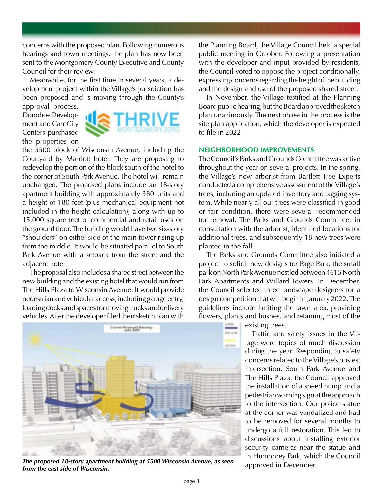concerns with the proposed plan. Following numerous hearings and town meetings, the plan has now been sent to the Montgomery County Executive and County Council for their review.

Meanwhile, for the first time in several years, a development project within the Village's jurisdiction has been proposed and is moving through the County's

approval process. Donohoe Development and Carr City Centers purchased the properties on



the 5500 block of Wisconsin Avenue, including the Courtyard by Marriott hotel. They are proposing to redevelop the portion of the block south of the hotel to the corner of South Park Avenue. The hotel will remain unchanged. The proposed plans include an 18-story apartment building with approximately 380 units and a height of 180 feet (plus mechanical equipment not included in the height calculation), along with up to 15,000 square feet of commercial and retail uses on the ground floor. The building would have two six-story "shoulders" on either side of the main tower rising up from the middle. It would be situated parallel to South Park Avenue with a setback from the street and the adjacent hotel.

The proposal also includes a shared street between the new building and the existing hotel that would run from The Hills Plaza to Wisconsin Avenue. It would provide pedestrian and vehicular access, including garage entry, loading docks and spaces for moving trucks and delivery vehicles. After the developer filed their sketch plan with



*The proposed 18-story apartment building at 5500 Wisconsin Avenue, as seen from the east side of Wisconsin.*

the Planning Board, the Village Council held a special public meeting in October. Following a presentation with the developer and input provided by residents, the Council voted to oppose the project conditionally, expressing concerns regarding the height of the building and the design and use of the proposed shared street.

In November, the Village testified at the Planning Board public hearing, but the Board approved the sketch plan unanimously. The next phase in the process is the site plan application, which the developer is expected to file in 2022.

#### **NEIGHBORHOOD IMPROVEMENTS**

The Council's Parks and Grounds Committee was active throughout the year on several projects. In the spring, the Village's new arborist from Bartlett Tree Experts conducted a comprehensive assessment of the Village's trees, including an updated inventory and tagging system. While nearly all our trees were classified in good or fair condition, there were several recommended for removal. The Parks and Grounds Committee, in consultation with the arborist, identified locations for additional trees, and subsequently 18 new trees were planted in the fall.

The Parks and Grounds Committee also initiated a project to solicit new designs for Page Park, the small park on North Park Avenue nestled between 4615 North Park Apartments and Willard Towers. In December, the Council selected three landscape designers for a design competition that will begin in January 2022. The guidelines include limiting the lawn area, providing flowers, plants and bushes, and retaining most of the

existing trees.

Traffic and safety issues in the Village were topics of much discussion during the year. Responding to safety concerns related to the Village's busiest intersection, South Park Avenue and The Hills Plaza, the Council approved the installation of a speed hump and a pedestrian warning sign at the approach to the intersection. Our police statue at the corner was vandalized and had to be removed for several months to undergo a full restoration. This led to discussions about installing exterior security cameras near the statue and in Humphrey Park, which the Council approved in December.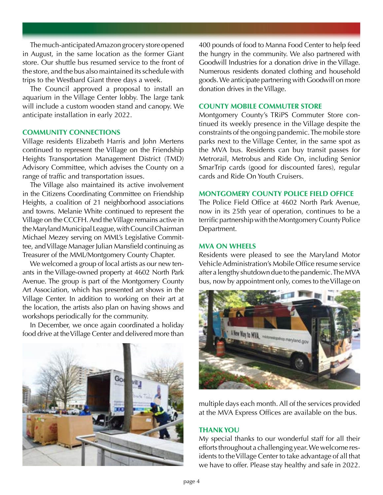The much-anticipated Amazon grocery store opened in August, in the same location as the former Giant store. Our shuttle bus resumed service to the front of the store, and the bus also maintained its schedule with trips to the Westbard Giant three days a week.

The Council approved a proposal to install an aquarium in the Village Center lobby. The large tank will include a custom wooden stand and canopy. We anticipate installation in early 2022.

#### **COMMUNITY CONNECTIONS**

Village residents Elizabeth Harris and John Mertens continued to represent the Village on the Friendship Heights Transportation Management District (TMD) Advisory Committee, which advises the County on a range of traffic and transportation issues.

The Village also maintained its active involvement in the Citizens Coordinating Committee on Friendship Heights, a coalition of 21 neighborhood associations and towns. Melanie White continued to represent the Village on the CCCFH. And the Village remains active in the Maryland Municipal League, with Council Chairman Michael Mezey serving on MML's Legislative Committee, and Village Manager Julian Mansfield continuing as Treasurer of the MML/Montgomery County Chapter.

We welcomed a group of local artists as our new tenants in the Village-owned property at 4602 North Park Avenue. The group is part of the Montgomery County Art Association, which has presented art shows in the Village Center. In addition to working on their art at the location, the artists also plan on having shows and workshops periodically for the community.

In December, we once again coordinated a holiday food drive at the Village Center and delivered more than



400 pounds of food to Manna Food Center to help feed the hungry in the community. We also partnered with Goodwill Industries for a donation drive in the Village. Numerous residents donated clothing and household goods. We anticipate partnering with Goodwill on more donation drives in the Village.

#### **COUNTY MOBILE COMMUTER STORE**

Montgomery County's TRiPS Commuter Store continued its weekly presence in the Village despite the constraints of the ongoing pandemic. The mobile store parks next to the Village Center, in the same spot as the MVA bus. Residents can buy transit passes for Metrorail, Metrobus and Ride On, including Senior SmarTrip cards (good for discounted fares), regular cards and Ride On Youth Cruisers.

### **MONTGOMERY COUNTY POLICE FIELD OFFICE**

The Police Field Office at 4602 North Park Avenue, now in its 25th year of operation, continues to be a terrific partnership with the Montgomery County Police Department.

#### **MVA ON WHEELS**

Residents were pleased to see the Maryland Motor Vehicle Administration's Mobile Office resume service after a lengthy shutdown due to the pandemic. The MVA bus, now by appointment only, comes to the Village on



multiple days each month. All of the services provided at the MVA Express Offices are available on the bus.

#### **THANK YOU**

My special thanks to our wonderful staff for all their efforts throughout a challenging year. We welcome residents to the Village Center to take advantage of all that we have to offer. Please stay healthy and safe in 2022.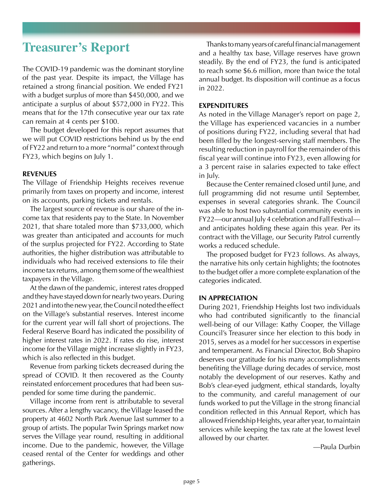### **Treasurer's Report**

The COVID-19 pandemic was the dominant storyline of the past year. Despite its impact, the Village has retained a strong financial position. We ended FY21 with a budget surplus of more than \$450,000, and we anticipate a surplus of about \$572,000 in FY22. This means that for the 17th consecutive year our tax rate can remain at 4 cents per \$100.

The budget developed for this report assumes that we will put COVID restrictions behind us by the end of FY22 and return to a more "normal" context through FY23, which begins on July 1.

#### **REVENUES**

The Village of Friendship Heights receives revenue primarily from taxes on property and income, interest on its accounts, parking tickets and rentals.

The largest source of revenue is our share of the income tax that residents pay to the State. In November 2021, that share totaled more than \$733,000, which was greater than anticipated and accounts for much of the surplus projected for FY22. According to State authorities, the higher distribution was attributable to individuals who had received extensions to file their income tax returns, among them some of the wealthiest taxpayers in the Village.

At the dawn of the pandemic, interest rates dropped and they have stayed down for nearly two years. During 2021 and into the new year, the Council noted the effect on the Village's substantial reserves. Interest income for the current year will fall short of projections. The Federal Reserve Board has indicated the possibility of higher interest rates in 2022. If rates do rise, interest income for the Village might increase slightly in FY23, which is also reflected in this budget.

Revenue from parking tickets decreased during the spread of COVID. It then recovered as the County reinstated enforcement procedures that had been suspended for some time during the pandemic.

Village income from rent is attributable to several sources. After a lengthy vacancy, the Village leased the property at 4602 North Park Avenue last summer to a group of artists. The popular Twin Springs market now serves the Village year round, resulting in additional income. Due to the pandemic, however, the Village ceased rental of the Center for weddings and other gatherings.

Thanks to many years of careful financial management and a healthy tax base, Village reserves have grown steadily. By the end of FY23, the fund is anticipated to reach some \$6.6 million, more than twice the total annual budget. Its disposition will continue as a focus in 2022.

#### **EXPENDITURES**

As noted in the Village Manager's report on page 2, the Village has experienced vacancies in a number of positions during FY22, including several that had been filled by the longest-serving staff members. The resulting reduction in payroll for the remainder of this fiscal year will continue into FY23, even allowing for a 3 percent raise in salaries expected to take effect in July.

Because the Center remained closed until June, and full programming did not resume until September, expenses in several categories shrank. The Council was able to host two substantial community events in FY22—our annual July 4 celebration and Fall Festival and anticipates holding these again this year. Per its contract with the Village, our Security Patrol currently works a reduced schedule.

The proposed budget for FY23 follows. As always, the narrative hits only certain highlights; the footnotes to the budget offer a more complete explanation of the categories indicated.

#### **IN APPRECIATION**

During 2021, Friendship Heights lost two individuals who had contributed significantly to the financial well-being of our Village: Kathy Cooper, the Village Council's Treasurer since her election to this body in 2015, serves as a model for her successors in expertise and temperament. As Financial Director, Bob Shapiro deserves our gratitude for his many accomplishments benefiting the Village during decades of service, most notably the development of our reserves. Kathy and Bob's clear-eyed judgment, ethical standards, loyalty to the community, and careful management of our funds worked to put the Village in the strong financial condition reflected in this Annual Report, which has allowed Friendship Heights, year after year, to maintain services while keeping the tax rate at the lowest level allowed by our charter.

—Paula Durbin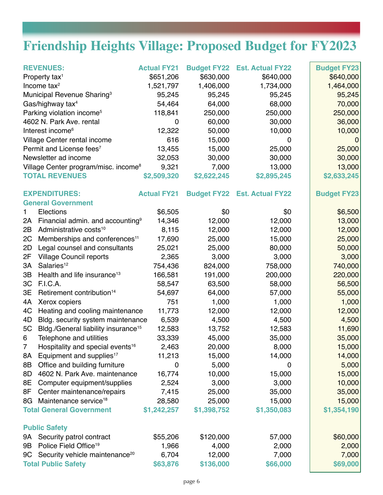# **Friendship Heights Village: Proposed Budget for FY2023**

| <b>REVENUES:</b><br>Property tax <sup>1</sup><br>Income tax $2$<br>Municipal Revenue Sharing <sup>3</sup><br>Gas/highway tax <sup>4</sup><br>Parking violation income <sup>5</sup><br>4602 N. Park Ave. rental<br>Interest income <sup>6</sup><br>Village Center rental income<br>Permit and License fees <sup>7</sup><br>Newsletter ad income<br>Village Center program/misc. income <sup>8</sup> |                                                                 | <b>Actual FY21</b><br>\$651,206<br>1,521,797<br>95,245<br>54,464<br>118,841<br>0<br>12,322<br>616<br>13,455<br>32,053<br>9,321 | \$630,000<br>1,406,000<br>95,245<br>64,000<br>250,000<br>60,000<br>50,000<br>15,000<br>15,000<br>30,000<br>7,000 | <b>Budget FY22 Est. Actual FY22</b><br>\$640,000<br>1,734,000<br>95,245<br>68,000<br>250,000<br>30,000<br>10,000<br>0<br>25,000<br>30,000<br>13,000 | <b>Budget FY23</b><br>\$640,000<br>1,464,000<br>95,245<br>70,000<br>250,000<br>36,000<br>10,000<br>$\overline{0}$<br>25,000<br>30,000<br>13,000 |  |
|----------------------------------------------------------------------------------------------------------------------------------------------------------------------------------------------------------------------------------------------------------------------------------------------------------------------------------------------------------------------------------------------------|-----------------------------------------------------------------|--------------------------------------------------------------------------------------------------------------------------------|------------------------------------------------------------------------------------------------------------------|-----------------------------------------------------------------------------------------------------------------------------------------------------|-------------------------------------------------------------------------------------------------------------------------------------------------|--|
|                                                                                                                                                                                                                                                                                                                                                                                                    | <b>TOTAL REVENUES</b>                                           | \$2,509,320                                                                                                                    | \$2,622,245                                                                                                      | \$2,895,245                                                                                                                                         | \$2,633,245                                                                                                                                     |  |
|                                                                                                                                                                                                                                                                                                                                                                                                    | <b>EXPENDITURES:</b><br><b>General Government</b>               | <b>Actual FY21</b>                                                                                                             |                                                                                                                  | <b>Budget FY22 Est. Actual FY22</b>                                                                                                                 | <b>Budget FY23</b>                                                                                                                              |  |
| 1                                                                                                                                                                                                                                                                                                                                                                                                  | Elections                                                       | \$6,505                                                                                                                        | \$0                                                                                                              | \$0                                                                                                                                                 | \$6,500                                                                                                                                         |  |
| 2A                                                                                                                                                                                                                                                                                                                                                                                                 | Financial admin. and accounting <sup>9</sup>                    | 14,346                                                                                                                         | 12,000                                                                                                           | 12,000                                                                                                                                              | 13,000                                                                                                                                          |  |
| 2B                                                                                                                                                                                                                                                                                                                                                                                                 | Administrative costs <sup>10</sup>                              | 8,115                                                                                                                          | 12,000                                                                                                           | 12,000                                                                                                                                              | 12,000                                                                                                                                          |  |
| 2C                                                                                                                                                                                                                                                                                                                                                                                                 | Memberships and conferences <sup>11</sup>                       | 17,690                                                                                                                         | 25,000                                                                                                           | 15,000                                                                                                                                              | 25,000                                                                                                                                          |  |
| 2D                                                                                                                                                                                                                                                                                                                                                                                                 | Legal counsel and consultants                                   | 25,021                                                                                                                         | 25,000                                                                                                           | 80,000                                                                                                                                              | 50,000                                                                                                                                          |  |
| 2F                                                                                                                                                                                                                                                                                                                                                                                                 | <b>Village Council reports</b>                                  | 2,365                                                                                                                          | 3,000                                                                                                            | 3,000                                                                                                                                               | 3,000                                                                                                                                           |  |
| 3A                                                                                                                                                                                                                                                                                                                                                                                                 | Salaries <sup>12</sup>                                          | 754,436                                                                                                                        | 824,000                                                                                                          | 758,000                                                                                                                                             | 740,000                                                                                                                                         |  |
| 3B                                                                                                                                                                                                                                                                                                                                                                                                 | Health and life insurance <sup>13</sup>                         | 166,581                                                                                                                        | 191,000                                                                                                          | 200,000                                                                                                                                             | 220,000                                                                                                                                         |  |
| 3C                                                                                                                                                                                                                                                                                                                                                                                                 | F.I.C.A.                                                        | 58,547                                                                                                                         | 63,500                                                                                                           | 58,000                                                                                                                                              | 56,500                                                                                                                                          |  |
| 3E                                                                                                                                                                                                                                                                                                                                                                                                 | Retirement contribution <sup>14</sup>                           | 54,697                                                                                                                         | 64,000                                                                                                           | 57,000                                                                                                                                              | 55,000                                                                                                                                          |  |
| 4A                                                                                                                                                                                                                                                                                                                                                                                                 | Xerox copiers                                                   | 751                                                                                                                            | 1,000                                                                                                            | 1,000                                                                                                                                               | 1,000                                                                                                                                           |  |
| 4C                                                                                                                                                                                                                                                                                                                                                                                                 | Heating and cooling maintenance                                 | 11,773                                                                                                                         | 12,000                                                                                                           | 12,000                                                                                                                                              | 12,000                                                                                                                                          |  |
| 4D                                                                                                                                                                                                                                                                                                                                                                                                 | Bldg. security system maintenance                               | 6,539                                                                                                                          | 4,500                                                                                                            | 4,500                                                                                                                                               | 4,500                                                                                                                                           |  |
| 5C                                                                                                                                                                                                                                                                                                                                                                                                 | Bldg./General liability insurance <sup>15</sup>                 | 12,583                                                                                                                         | 13,752                                                                                                           | 12,583                                                                                                                                              | 11,690                                                                                                                                          |  |
| 6                                                                                                                                                                                                                                                                                                                                                                                                  | Telephone and utilities                                         | 33,339                                                                                                                         | 45,000                                                                                                           | 35,000                                                                                                                                              | 35,000                                                                                                                                          |  |
| 7                                                                                                                                                                                                                                                                                                                                                                                                  | Hospitality and special events <sup>16</sup>                    | 2,463                                                                                                                          | 20,000                                                                                                           | 8,000                                                                                                                                               | 15,000                                                                                                                                          |  |
| 8A                                                                                                                                                                                                                                                                                                                                                                                                 | Equipment and supplies <sup>17</sup>                            | 11,213                                                                                                                         | 15,000                                                                                                           | 14,000                                                                                                                                              | 14,000                                                                                                                                          |  |
| 8B                                                                                                                                                                                                                                                                                                                                                                                                 | Office and building furniture                                   | $\mathbf 0$                                                                                                                    | 5,000                                                                                                            | 0                                                                                                                                                   | 5,000                                                                                                                                           |  |
| 8D                                                                                                                                                                                                                                                                                                                                                                                                 | 4602 N. Park Ave. maintenance                                   | 16,774                                                                                                                         | 10,000                                                                                                           | 15,000                                                                                                                                              | 15,000                                                                                                                                          |  |
| 8E                                                                                                                                                                                                                                                                                                                                                                                                 | Computer equipment/supplies                                     | 2,524                                                                                                                          | 3,000                                                                                                            | 3,000                                                                                                                                               | 10,000                                                                                                                                          |  |
| 8F                                                                                                                                                                                                                                                                                                                                                                                                 | Center maintenance/repairs<br>Maintenance service <sup>18</sup> | 7,415                                                                                                                          | 25,000                                                                                                           | 35,000                                                                                                                                              | 35,000                                                                                                                                          |  |
| 8G                                                                                                                                                                                                                                                                                                                                                                                                 |                                                                 | 28,580                                                                                                                         | 25,000                                                                                                           | 15,000                                                                                                                                              | 15,000<br>\$1,354,190                                                                                                                           |  |
| <b>Total General Government</b><br>\$1,242,257<br>\$1,350,083<br>\$1,398,752                                                                                                                                                                                                                                                                                                                       |                                                                 |                                                                                                                                |                                                                                                                  |                                                                                                                                                     |                                                                                                                                                 |  |
| <b>Public Safety</b>                                                                                                                                                                                                                                                                                                                                                                               |                                                                 |                                                                                                                                |                                                                                                                  |                                                                                                                                                     |                                                                                                                                                 |  |
| 9A                                                                                                                                                                                                                                                                                                                                                                                                 | Security patrol contract                                        | \$55,206                                                                                                                       | \$120,000                                                                                                        | 57,000                                                                                                                                              | \$60,000                                                                                                                                        |  |
| 9B                                                                                                                                                                                                                                                                                                                                                                                                 | Police Field Office <sup>19</sup>                               | 1,966                                                                                                                          | 4,000                                                                                                            | 2,000                                                                                                                                               | 2,000                                                                                                                                           |  |
| Security vehicle maintenance <sup>20</sup><br>9C                                                                                                                                                                                                                                                                                                                                                   |                                                                 | 6,704                                                                                                                          | 12,000                                                                                                           | 7,000                                                                                                                                               | 7,000                                                                                                                                           |  |
| <b>Total Public Safety</b>                                                                                                                                                                                                                                                                                                                                                                         |                                                                 | \$63,876                                                                                                                       | \$136,000                                                                                                        | \$66,000                                                                                                                                            | \$69,000                                                                                                                                        |  |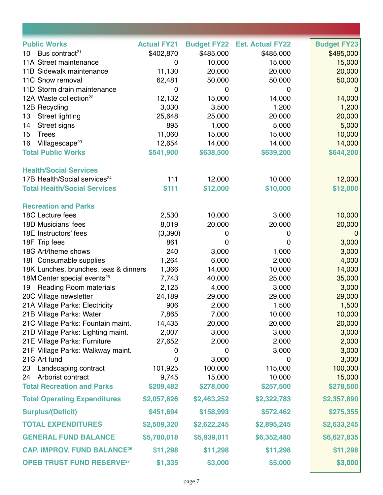| <b>Public Works</b>                         | <b>Actual FY21</b> |             | <b>Budget FY22 Est. Actual FY22</b> | <b>Budget FY23</b> |
|---------------------------------------------|--------------------|-------------|-------------------------------------|--------------------|
| Bus contract <sup>21</sup><br>10            | \$402,870          | \$485,000   | \$485,000                           | \$495,000          |
| 11A Street maintenance                      | 0                  | 10,000      | 15,000                              | 15,000             |
| 11B Sidewalk maintenance                    | 11,130             | 20,000      | 20,000                              | 20,000             |
| 11C Snow removal                            | 62,481             | 50,000      | 50,000                              | 50,000             |
| 11D Storm drain maintenance                 | 0                  | 0           | 0                                   | 0                  |
| 12A Waste collection <sup>22</sup>          | 12,132             | 15,000      | 14,000                              | 14,000             |
| 12B Recycling                               | 3,030              | 3,500       | 1,200                               | 1,200              |
| <b>Street lighting</b><br>13                | 25,648             | 25,000      | 20,000                              | 20,000             |
| Street signs<br>14                          | 895                | 1,000       | 5,000                               | 5,000              |
| <b>Trees</b><br>15                          | 11,060             | 15,000      | 15,000                              | 10,000             |
| Villagescape <sup>23</sup><br>16            | 12,654             | 14,000      | 14,000                              | 14,000             |
| <b>Total Public Works</b>                   | \$541,900          | \$638,500   | \$639,200                           | \$644,200          |
| <b>Health/Social Services</b>               |                    |             |                                     |                    |
| 17B Health/Social services <sup>24</sup>    | 111                | 12,000      | 10,000                              | 12,000             |
| <b>Total Health/Social Services</b>         | \$111              | \$12,000    | \$10,000                            | \$12,000           |
| <b>Recreation and Parks</b>                 |                    |             |                                     |                    |
| 18C Lecture fees                            | 2,530              | 10,000      | 3,000                               | 10,000             |
| 18D Musicians' fees                         | 8,019              | 20,000      | 20,000                              | 20,000             |
| 18E Instructors' fees                       | (3,390)            | 0           | 0                                   | $\overline{0}$     |
| 18F Trip fees                               | 861                | 0           | 0                                   | 3,000              |
| 18G Art/theme shows                         | 240                | 3,000       | 1,000                               | 3,000              |
| 181 Consumable supplies                     | 1,264              | 6,000       | 2,000                               | 4,000              |
| 18K Lunches, brunches, teas & dinners       | 1,366              | 14,000      | 10,000                              | 14,000             |
| 18M Center special events <sup>25</sup>     | 7,743              | 40,000      | 25,000                              | 35,000             |
| <b>Reading Room materials</b><br>19         | 2,125              | 4,000       | 3,000                               | 3,000              |
| 20C Village newsletter                      | 24,189             | 29,000      | 29,000                              | 29,000             |
| 21A Village Parks: Electricity              | 906                | 2,000       | 1,500                               | 1,500              |
| 21B Village Parks: Water                    | 7,865              | 7,000       | 10,000                              | 10,000             |
| 21C Village Parks: Fountain maint.          | 14,435             | 20,000      | 20,000                              | 20,000             |
| 21D Village Parks: Lighting maint.          | 2,007              | 3,000       | 3,000                               | 3,000              |
| 21E Village Parks: Furniture                | 27,652             | 2,000       | 2,000                               | 2,000              |
| 21F Village Parks: Walkway maint.           | 0                  | 0           | 3,000                               | 3,000              |
| 21G Art fund                                | 0                  | 3,000       | 0                                   | 3,000              |
| 23 Landscaping contract                     | 101,925            | 100,000     | 115,000                             | 100,000            |
| 24 Arborist contract                        | 9,745              | 15,000      | 10,000                              | 15,000             |
| <b>Total Recreation and Parks</b>           | \$209,482          | \$278,000   | \$257,500                           | \$278,500          |
| <b>Total Operating Expenditures</b>         | \$2,057,626        | \$2,463,252 | \$2,322,783                         | \$2,357,890        |
| <b>Surplus/(Deficit)</b>                    | \$451,694          | \$158,993   | \$572,462                           | \$275,355          |
| <b>TOTAL EXPENDITURES</b>                   | \$2,509,320        | \$2,622,245 | \$2,895,245                         | \$2,633,245        |
| <b>GENERAL FUND BALANCE</b>                 | \$5,780,018        | \$5,939,011 | \$6,352,480                         | \$6,627,835        |
| <b>CAP. IMPROV. FUND BALANCE26</b>          | \$11,298           | \$11,298    | \$11,298                            | \$11,298           |
| <b>OPEB TRUST FUND RESERVE<sup>27</sup></b> | \$1,335            | \$3,000     | \$5,000                             | \$3,000            |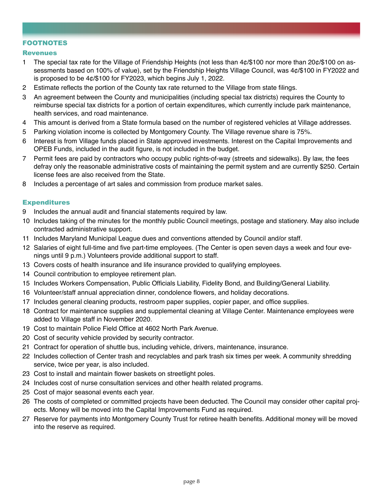#### FOOTNOTES

#### Revenues

- 1 The special tax rate for the Village of Friendship Heights (not less than 4¢/\$100 nor more than 20¢/\$100 on assessments based on 100% of value), set by the Friendship Heights Village Council, was 4¢/\$100 in FY2022 and is proposed to be 4¢/\$100 for FY2023, which begins July 1, 2022.
- 2 Estimate reflects the portion of the County tax rate returned to the Village from state filings.
- 3 An agreement between the County and municipalities (including special tax districts) requires the County to reimburse special tax districts for a portion of certain expenditures, which currently include park maintenance, health services, and road maintenance.
- 4 This amount is derived from a State formula based on the number of registered vehicles at Village addresses.
- 5 Parking violation income is collected by Montgomery County. The Village revenue share is 75%.
- 6 Interest is from Village funds placed in State approved investments. Interest on the Capital Improvements and OPEB Funds, included in the audit figure, is not included in the budget.
- 7 Permit fees are paid by contractors who occupy public rights-of-way (streets and sidewalks). By law, the fees defray only the reasonable administrative costs of maintaining the permit system and are currently \$250. Certain license fees are also received from the State.
- 8 Includes a percentage of art sales and commission from produce market sales.

#### Expenditures

- 9 Includes the annual audit and financial statements required by law.
- 10 Includes taking of the minutes for the monthly public Council meetings, postage and stationery. May also include contracted administrative support.
- 11 Includes Maryland Municipal League dues and conventions attended by Council and/or staff.
- 12 Salaries of eight full-time and five part-time employees. (The Center is open seven days a week and four evenings until 9 p.m.) Volunteers provide additional support to staff.
- 13 Covers costs of health insurance and life insurance provided to qualifying employees.
- 14 Council contribution to employee retirement plan.
- 15 Includes Workers Compensation, Public Officials Liability, Fidelity Bond, and Building/General Liability.
- 16 Volunteer/staff annual appreciation dinner, condolence flowers, and holiday decorations.
- 17 Includes general cleaning products, restroom paper supplies, copier paper, and office supplies.
- 18 Contract for maintenance supplies and supplemental cleaning at Village Center. Maintenance employees were added to Village staff in November 2020.
- 19 Cost to maintain Police Field Office at 4602 North Park Avenue.
- 20 Cost of security vehicle provided by security contractor.
- 21 Contract for operation of shuttle bus, including vehicle, drivers, maintenance, insurance.
- 22 Includes collection of Center trash and recyclables and park trash six times per week. A community shredding service, twice per year, is also included.
- 23 Cost to install and maintain flower baskets on streetlight poles.
- 24 Includes cost of nurse consultation services and other health related programs.
- 25 Cost of major seasonal events each year.
- 26 The costs of completed or committed projects have been deducted. The Council may consider other capital projects. Money will be moved into the Capital Improvements Fund as required.
- 27 Reserve for payments into Montgomery County Trust for retiree health benefits. Additional money will be moved into the reserve as required.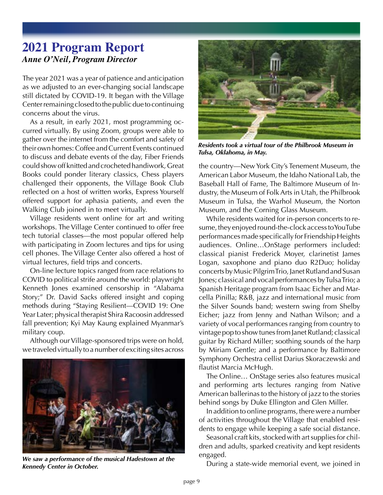### **2021 Program Report** *Anne O'Neil, Program Director*

The year 2021 was a year of patience and anticipation as we adjusted to an ever-changing social landscape still dictated by COVID-19. It began with the Village Center remaining closed to the public due to continuing concerns about the virus.

As a result, in early 2021, most programming occurred virtually. By using Zoom, groups were able to gather over the internet from the comfort and safety of their own homes: Coffee and Current Events continued to discuss and debate events of the day, Fiber Friends could show off knitted and crocheted handiwork, Great Books could ponder literary classics, Chess players challenged their opponents, the Village Book Club reflected on a host of written works, Express Yourself offered support for aphasia patients, and even the Walking Club joined in to meet virtually.

Village residents went online for art and writing workshops. The Village Center continued to offer free tech tutorial classes—the most popular offered help with participating in Zoom lectures and tips for using cell phones. The Village Center also offered a host of virtual lectures, field trips and concerts.

On-line lecture topics ranged from race relations to COVID to political strife around the world: playwright Kenneth Jones examined censorship in "Alabama Story;" Dr. David Sacks offered insight and coping methods during "Staying Resilient—COVID 19: One Year Later; physical therapist Shira Racoosin addressed fall prevention; Kyi May Kaung explained Myanmar's military coup.

Although our Village-sponsored trips were on hold, we traveled virtually to a number of exciting sites across



*We saw a performance of the musical Hadestown at the Kennedy Center in October.*



*Residents took a virtual tour of the Philbrook Museum in Tulsa, Oklahoma, in May.*

the country—New York City's Tenement Museum, the American Labor Museum, the Idaho National Lab, the Baseball Hall of Fame, The Baltimore Museum of Industry, the Museum of Folk Arts in Utah, the Philbrook Museum in Tulsa, the Warhol Museum, the Norton Museum, and the Corning Glass Museum.

While residents waited for in-person concerts to resume, they enjoyed round-the-clock access to YouTube performances made specifically for Friendship Heights audiences. Online…OnStage performers included: classical pianist Frederick Moyer, clarinetist James Logan, saxophone and piano duo R2Duo; holiday concerts by Music Pilgrim Trio, Janet Rutland and Susan Jones; classical and vocal performances by Tulsa Trio; a Spanish Heritage program from Isaac Eicher and Marcella Pinilla; R&B, jazz and international music from the Silver Sounds band; western swing from Shelby Eicher; jazz from Jenny and Nathan Wilson; and a variety of vocal performances ranging from country to vintage pop to show tunes from Janet Rutland; classical guitar by Richard Miller; soothing sounds of the harp by Miriam Gentle; and a performance by Baltimore Symphony Orchestra cellist Darius Skoraczewski and flautist Marcia McHugh.

The Online… OnStage series also features musical and performing arts lectures ranging from Native American ballerinas to the history of jazz to the stories behind songs by Duke Ellington and Glen Miller.

In addition to online programs, there were a number of activities throughout the Village that enabled residents to engage while keeping a safe social distance.

Seasonal craft kits, stocked with art supplies for children and adults, sparked creativity and kept residents engaged.

During a state-wide memorial event, we joined in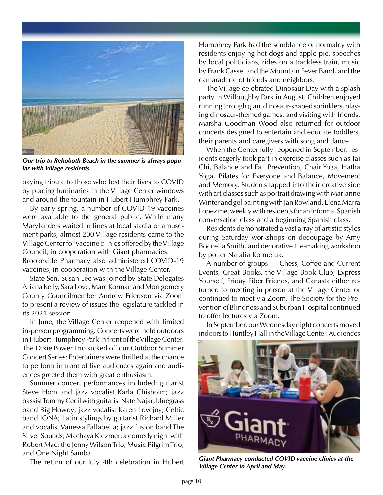

*Our trip to Rehoboth Beach in the summer is always popular with Village residents.*

paying tribute to those who lost their lives to COVID by placing luminaries in the Village Center windows and around the fountain in Hubert Humphrey Park.

By early spring, a number of COVID-19 vaccines were available to the general public. While many Marylanders waited in lines at local stadia or amusement parks, almost 200 Village residents came to the Village Center for vaccine clinics offered by the Village Council, in cooperation with Giant pharmacies. Brookeville Pharmacy also administered COVID-19 vaccines, in cooperation with the Village Center.

State Sen. Susan Lee was joined by State Delegates Ariana Kelly, Sara Love, Marc Korman and Montgomery County Councilmember Andrew Friedson via Zoom to present a review of issues the legislature tackled in its 2021 session.

In June, the Village Center reopened with limited in-person programming. Concerts were held outdoors in Hubert Humphrey Park in front of the Village Center. The Dixie Power Trio kicked off our Outdoor Summer Concert Series: Entertainers were thrilled at the chance to perform in front of live audiences again and audiences greeted them with great enthusiasm.

Summer concert performances included: guitarist Steve Hom and jazz vocalist Karla Chisholm; jazz bassist Tommy Cecil with guitarist Nate Najar; bluegrass band Big Howdy; jazz vocalist Karen Lovejoy; Celtic band IONA; Latin stylings by guitarist Richard Miller and vocalist Vanessa Fallabella; jazz fusion band The Silver Sounds; Machaya Klezmer; a comedy night with Robert Mac; the Jenny Wilson Trio; Music Pilgrim Trio; and One Night Samba.

The return of our July 4th celebration in Hubert

Humphrey Park had the semblance of normalcy with residents enjoying hot dogs and apple pie, speeches by local politicians, rides on a trackless train, music by Frank Cassel and the Mountain Fever Band, and the camaraderie of friends and neighbors.

The Village celebrated Dinosaur Day with a splash party in Willoughby Park in August. Children enjoyed running through giant dinosaur-shaped sprinklers, playing dinosaur-themed games, and visiting with friends. Marsha Goodman Wood also returned for outdoor concerts designed to entertain and educate toddlers, their parents and caregivers with song and dance.

When the Center fully reopened in September, residents eagerly took part in exercise classes such as Tai Chi, Balance and Fall Prevention, Chair Yoga, Hatha Yoga, Pilates for Everyone and Balance, Movement and Memory. Students tapped into their creative side with art classes such as portrait drawing with Marianne Winter and gel painting with Jan Rowland. Elena Marra Lopez met weekly with residents for an informal Spanish conversation class and a beginning Spanish class.

Residents demonstrated a vast array of artistic styles during Saturday workshops on decoupage by Amy Boccella Smith, and decorative tile-making workshop by potter Natalia Kormeluk.

A number of groups — Chess, Coffee and Current Events, Great Books, the Village Book Club; Express Yourself, Friday Fiber Friends, and Canasta either returned to meeting in person at the Village Center or continued to meet via Zoom. The Society for the Prevention of Blindness and Suburban Hospital continued to offer lectures via Zoom.

In September, our Wednesday night concerts moved indoors to Huntley Hall in the Village Center. Audiences



*Giant Pharmacy conducted COVID vaccine clinics at the Village Center in April and May.*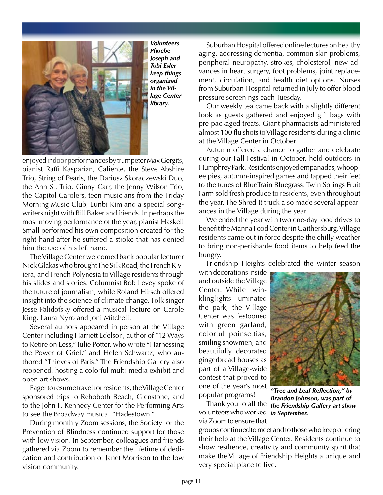

*Volunteers Phoebe Joseph and Tobi Esler keep things organized in the Village Center library.*

enjoyed indoor performances by trumpeter Max Gergits, pianist Raffi Kasparian, Caliente, the Steve Abshire Trio, String of Pearls, the Dariusz Skoraczewski Duo, the Ann St. Trio, Ginny Carr, the Jenny Wilson Trio, the Capitol Carolers, teen musicians from the Friday Morning Music Club, Eunbi Kim and a special songwriters night with Bill Baker and friends. In perhaps the most moving performance of the year, pianist Haskell Small performed his own composition created for the right hand after he suffered a stroke that has denied him the use of his left hand.

The Village Center welcomed back popular lecturer Nick Glakas who brought The Silk Road, the French Riviera, and French Polynesia to Village residents through his slides and stories. Columnist Bob Levey spoke of the future of journalism, while Roland Hirsch offered insight into the science of climate change. Folk singer Jesse Palidofsky offered a musical lecture on Carole King, Laura Nyro and Joni Mitchell.

Several authors appeared in person at the Village Center including Harriett Edelson, author of "12 Ways to Retire on Less," Julie Potter, who wrote "Harnessing the Power of Grief," and Helen Schwartz, who authored "Thieves of Paris." The Friendship Gallery also reopened, hosting a colorful multi-media exhibit and open art shows.

Eager to resume travel for residents, the Village Center sponsored trips to Rehoboth Beach, Glenstone, and to the John F. Kennedy Center for the Performing Arts to see the Broadway musical "Hadestown."

During monthly Zoom sessions, the Society for the Prevention of Blindness continued support for those with low vision. In September, colleagues and friends gathered via Zoom to remember the lifetime of dedication and contribution of Janet Morrison to the low vision community.

Suburban Hospital offered online lectures on healthy aging, addressing dementia, common skin problems, peripheral neuropathy, strokes, cholesterol, new advances in heart surgery, foot problems, joint replacement, circulation, and health diet options. Nurses from Suburban Hospital returned in July to offer blood pressure screenings each Tuesday.

Our weekly tea came back with a slightly different look as guests gathered and enjoyed gift bags with pre-packaged treats. Giant pharmacists administered almost 100 flu shots to Village residents during a clinic at the Village Center in October.

Autumn offered a chance to gather and celebrate during our Fall Festival in October, held outdoors in Humphrey Park. Residents enjoyed empanadas, whoopee pies, autumn-inspired games and tapped their feet to the tunes of BlueTrain Bluegrass. Twin Springs Fruit Farm sold fresh produce to residents, even throughout the year. The Shred-It truck also made several appearances in the Village during the year.

We ended the year with two one-day food drives to benefit the Manna Food Center in Gaithersburg. Village residents came out in force despite the chilly weather to bring non-perishable food items to help feed the hungry.

Friendship Heights celebrated the winter season

with decorations inside and outside the Village Center. While twinkling lights illuminated the park, the Village Center was festooned with green garland, colorful poinsettias, smiling snowmen, and beautifully decorated gingerbread houses as part of a Village-wide contest that proved to one of the year's most popular programs!



volunteers who worked *in September.* via Zoom to ensure that

Thank you to all the *the Friendship Gallery art show "Tree and Leaf Reflection," by Brandon Johnson, was part of* 

groups continued to meet and to those who keep offering their help at the Village Center. Residents continue to show resilience, creativity and community spirit that make the Village of Friendship Heights a unique and very special place to live.